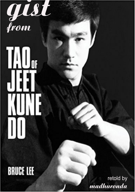

# 

## **BRUCE LEE**

retold by madhuronda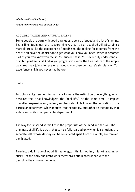*Who has no thought of himself, Abiding in the no-mind-ness of Great Origin.*

#### [ACQUIRED TALENT AND NATURAL TALENT](#page--1-0)

Some people are born with good physiques, a sense of speed and a lot of stamina. That's fine. But in martial arts everything you learn, is an acquired skill,Absorbing a martial: art is like the experience of Buddhism. The feeling for it comes from the heart. You have the dedication to get what you know you need. When it becomes part of you, you know you feel it. You succeed at it. You never fully understand all of it, but you keep at it.And as you progress you know the true nature of the simple way. You may join a temple or a kwoon. You observe nature's simple way. You experience a high you never had before.

#### [On ZEN](#page--1-1)

To obtain enlightenment in martial art means the extinction of everything which obscures the "true knowledge/\* the "real life," At the same time, it implies boundless expansion and, indeed, emphasis should fall not on the cultivation of the particular department which merges into the totality, but rather on the totality that enters and unites that particular department.

The way to transcend karma lies in the proper use of the mind and the will. The one- ness of all life is a truth that can be fully realized only when false notions of a separate self, whose destiny can be considered apart from the whole, are forever annihilated.

Turn into a doll made of wood: it has no ego, it thinks nothing, it is not grasping or sticky. Let the body and limbs work themselves out in accordance with the discipline they have undergone.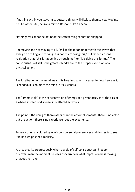If nothing within you stays rigid, outward things will disclose themselves. Moving, be like water. Still, be like a mirror. Respond like an echo.

Nothingness cannot be defined; the softest thing cannot be snapped.

I'm moving and not moving at all. I'm like the moon underneath the waves that ever go on rolling and rocking. It is not, "I am doing this," but rather, an inner realization that "this is happening through me," or "it is doing this for me." The consciousness of self is the greatest hindrance to the proper execution of all physical action.

The localization of the mind means its freezing. When it ceases to flow freely as it is needed, it is no more the mind in its suchness.

The "'Immovable" is the concentration of energy at a given focus, as at the axis of a wheel, instead of dispersal in scattered activities.

The point is the doing of them rather than the accomplishments. There is no actor but the action; there is no experiencer but the experience.

To see a thing uncolored by one's own personal preferences and desires is to see it in its own pristine simplicity.

Art reaches its greatest peal< when devoid of self-consciousness. Freedom discovers man the moment he loses concern over what impression he is making or about to make.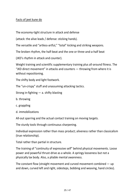### [Facts of jeet kune do](#page--1-0)

(attack: the alive leads / defense: sticking hands).

The economy-tight structure in attack and defense<br>(attack: the alive leads / defense: sticking hands).<br>The versatile and "artless-artful," "total" kicking and striking weapons.

The versatile and "artless-artful," "total" kicking and striking weapons.<br>The broken rhythm, the half-beat and the one or three-and-a-half beat The broken rhythm, the half-beat and the one or three-and-a-half beat<br>(JKD's rhythm in attack and counter).

(JKD's rhythm in attack and counter).

Weight training and scientific supplementary training plus all-around fitness. The<br>"JKD direct movement" in attacks and counters — throwing from where it is<br>without repositioning "JKD direct movement" in attacks and counters — throwing from where it is without repositioning.

The shifty body and light footwork.

The "un-crispy" stuff and unassuming attacking tactics.

Strong in-fighting  $-$  a. shifty blasting

- b. throwing
- c. grappling
- d. immobilizations

All-out sparring and the actual contact training on moving targets.

The sturdy tools through continuous sharpening.

Individual expression rather than mass product; aliveness rather than classicalism (true relationship).

Total rather than partial in structure.

The training of "continuity of expressive self" behind physical movements. Loose power and powerful thrust-drive as a whole. A springy looseness but not a physically lax body. Also, a pliable mental awareness.

The constant flow (straight movement and curved movement combined — up and down, curved left and right, sidesteps, bobbing and weaving, hand circles).